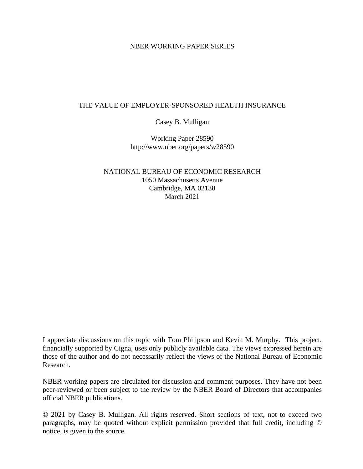## NBER WORKING PAPER SERIES

## THE VALUE OF EMPLOYER-SPONSORED HEALTH INSURANCE

Casey B. Mulligan

Working Paper 28590 http://www.nber.org/papers/w28590

NATIONAL BUREAU OF ECONOMIC RESEARCH 1050 Massachusetts Avenue Cambridge, MA 02138 March 2021

I appreciate discussions on this topic with Tom Philipson and Kevin M. Murphy. This project, financially supported by Cigna, uses only publicly available data. The views expressed herein are those of the author and do not necessarily reflect the views of the National Bureau of Economic Research.

NBER working papers are circulated for discussion and comment purposes. They have not been peer-reviewed or been subject to the review by the NBER Board of Directors that accompanies official NBER publications.

© 2021 by Casey B. Mulligan. All rights reserved. Short sections of text, not to exceed two paragraphs, may be quoted without explicit permission provided that full credit, including © notice, is given to the source.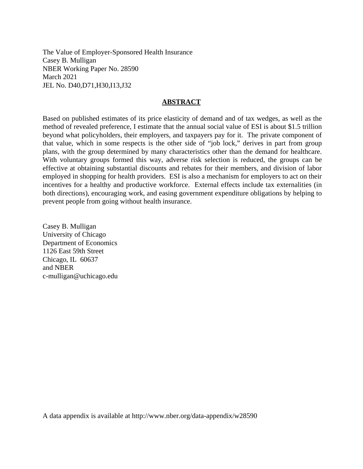The Value of Employer-Sponsored Health Insurance Casey B. Mulligan NBER Working Paper No. 28590 March 2021 JEL No. D40,D71,H30,I13,J32

### **ABSTRACT**

Based on published estimates of its price elasticity of demand and of tax wedges, as well as the method of revealed preference, I estimate that the annual social value of ESI is about \$1.5 trillion beyond what policyholders, their employers, and taxpayers pay for it. The private component of that value, which in some respects is the other side of "job lock," derives in part from group plans, with the group determined by many characteristics other than the demand for healthcare. With voluntary groups formed this way, adverse risk selection is reduced, the groups can be effective at obtaining substantial discounts and rebates for their members, and division of labor employed in shopping for health providers. ESI is also a mechanism for employers to act on their incentives for a healthy and productive workforce. External effects include tax externalities (in both directions), encouraging work, and easing government expenditure obligations by helping to prevent people from going without health insurance.

Casey B. Mulligan University of Chicago Department of Economics 1126 East 59th Street Chicago, IL 60637 and NBER c-mulligan@uchicago.edu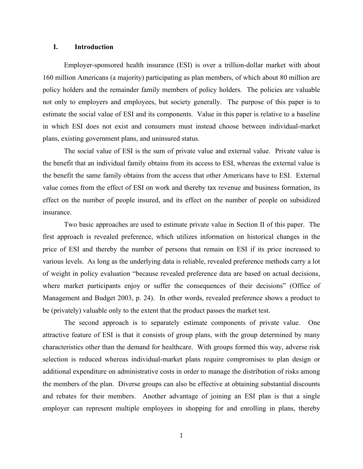#### **I. Introduction**

Employer-sponsored health insurance (ESI) is over a trillion-dollar market with about 160 million Americans (a majority) participating as plan members, of which about 80 million are policy holders and the remainder family members of policy holders. The policies are valuable not only to employers and employees, but society generally. The purpose of this paper is to estimate the social value of ESI and its components. Value in this paper is relative to a baseline in which ESI does not exist and consumers must instead choose between individual-market plans, existing government plans, and uninsured status.

The social value of ESI is the sum of private value and external value. Private value is the benefit that an individual family obtains from its access to ESI, whereas the external value is the benefit the same family obtains from the access that other Americans have to ESI. External value comes from the effect of ESI on work and thereby tax revenue and business formation, its effect on the number of people insured, and its effect on the number of people on subsidized insurance.

Two basic approaches are used to estimate private value in Section II of this paper. The first approach is revealed preference, which utilizes information on historical changes in the price of ESI and thereby the number of persons that remain on ESI if its price increased to various levels. As long as the underlying data is reliable, revealed preference methods carry a lot of weight in policy evaluation "because revealed preference data are based on actual decisions, where market participants enjoy or suffer the consequences of their decisions" (Office of Management and Budget 2003, p. 24). In other words, revealed preference shows a product to be (privately) valuable only to the extent that the product passes the market test.

The second approach is to separately estimate components of private value. One attractive feature of ESI is that it consists of group plans, with the group determined by many characteristics other than the demand for healthcare. With groups formed this way, adverse risk selection is reduced whereas individual-market plans require compromises to plan design or additional expenditure on administrative costs in order to manage the distribution of risks among the members of the plan. Diverse groups can also be effective at obtaining substantial discounts and rebates for their members. Another advantage of joining an ESI plan is that a single employer can represent multiple employees in shopping for and enrolling in plans, thereby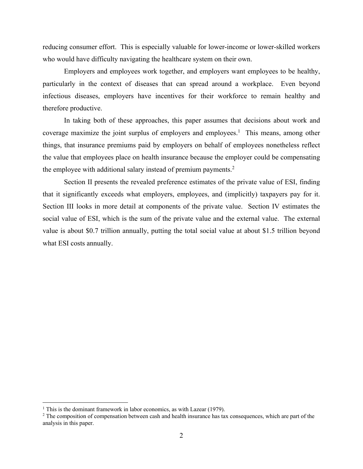reducing consumer effort. This is especially valuable for lower-income or lower-skilled workers who would have difficulty navigating the healthcare system on their own.

Employers and employees work together, and employers want employees to be healthy, particularly in the context of diseases that can spread around a workplace. Even beyond infectious diseases, employers have incentives for their workforce to remain healthy and therefore productive.

In taking both of these approaches, this paper assumes that decisions about work and coverage maximize the joint surplus of employers and employees.<sup>1</sup> This means, among other things, that insurance premiums paid by employers on behalf of employees nonetheless reflect the value that employees place on health insurance because the employer could be compensating the employee with additional salary instead of premium payments.<sup>2</sup>

Section II presents the revealed preference estimates of the private value of ESI, finding that it significantly exceeds what employers, employees, and (implicitly) taxpayers pay for it. Section III looks in more detail at components of the private value. Section IV estimates the social value of ESI, which is the sum of the private value and the external value. The external value is about \$0.7 trillion annually, putting the total social value at about \$1.5 trillion beyond what ESI costs annually.

<sup>&</sup>lt;sup>1</sup> This is the dominant framework in labor economics, as with Lazear (1979).

<sup>&</sup>lt;sup>2</sup> The composition of compensation between cash and health insurance has tax consequences, which are part of the analysis in this paper.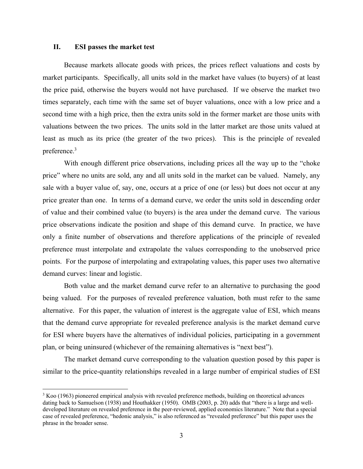#### **II. ESI passes the market test**

Because markets allocate goods with prices, the prices reflect valuations and costs by market participants. Specifically, all units sold in the market have values (to buyers) of at least the price paid, otherwise the buyers would not have purchased. If we observe the market two times separately, each time with the same set of buyer valuations, once with a low price and a second time with a high price, then the extra units sold in the former market are those units with valuations between the two prices. The units sold in the latter market are those units valued at least as much as its price (the greater of the two prices). This is the principle of revealed preference.3

With enough different price observations, including prices all the way up to the "choke price" where no units are sold, any and all units sold in the market can be valued. Namely, any sale with a buyer value of, say, one, occurs at a price of one (or less) but does not occur at any price greater than one. In terms of a demand curve, we order the units sold in descending order of value and their combined value (to buyers) is the area under the demand curve. The various price observations indicate the position and shape of this demand curve. In practice, we have only a finite number of observations and therefore applications of the principle of revealed preference must interpolate and extrapolate the values corresponding to the unobserved price points. For the purpose of interpolating and extrapolating values, this paper uses two alternative demand curves: linear and logistic.

Both value and the market demand curve refer to an alternative to purchasing the good being valued. For the purposes of revealed preference valuation, both must refer to the same alternative. For this paper, the valuation of interest is the aggregate value of ESI, which means that the demand curve appropriate for revealed preference analysis is the market demand curve for ESI where buyers have the alternatives of individual policies, participating in a government plan, or being uninsured (whichever of the remaining alternatives is "next best").

The market demand curve corresponding to the valuation question posed by this paper is similar to the price-quantity relationships revealed in a large number of empirical studies of ESI

<sup>&</sup>lt;sup>3</sup> Koo (1963) pioneered empirical analysis with revealed preference methods, building on theoretical advances dating back to Samuelson (1938) and Houthakker (1950). OMB (2003, p. 20) adds that "there is a large and welldeveloped literature on revealed preference in the peer-reviewed, applied economics literature." Note that a special case of revealed preference, "hedonic analysis," is also referenced as "revealed preference" but this paper uses the phrase in the broader sense.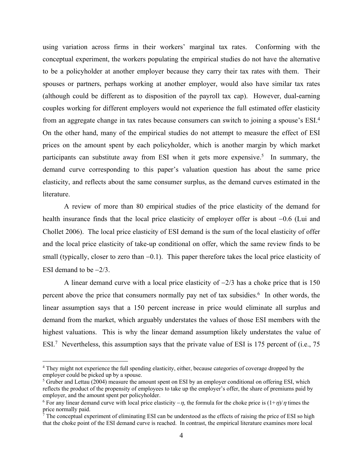using variation across firms in their workers' marginal tax rates. Conforming with the conceptual experiment, the workers populating the empirical studies do not have the alternative to be a policyholder at another employer because they carry their tax rates with them. Their spouses or partners, perhaps working at another employer, would also have similar tax rates (although could be different as to disposition of the payroll tax cap). However, dual-earning couples working for different employers would not experience the full estimated offer elasticity from an aggregate change in tax rates because consumers can switch to joining a spouse's ESI.<sup>4</sup> On the other hand, many of the empirical studies do not attempt to measure the effect of ESI prices on the amount spent by each policyholder, which is another margin by which market participants can substitute away from ESI when it gets more expensive.<sup>5</sup> In summary, the demand curve corresponding to this paper's valuation question has about the same price elasticity, and reflects about the same consumer surplus, as the demand curves estimated in the literature.

A review of more than 80 empirical studies of the price elasticity of the demand for health insurance finds that the local price elasticity of employer offer is about  $-0.6$  (Lui and Chollet 2006). The local price elasticity of ESI demand is the sum of the local elasticity of offer and the local price elasticity of take-up conditional on offer, which the same review finds to be small (typically, closer to zero than  $-0.1$ ). This paper therefore takes the local price elasticity of ESI demand to be  $-2/3$ .

A linear demand curve with a local price elasticity of  $-2/3$  has a choke price that is 150 percent above the price that consumers normally pay net of tax subsidies.<sup>6</sup> In other words, the linear assumption says that a 150 percent increase in price would eliminate all surplus and demand from the market, which arguably understates the values of those ESI members with the highest valuations. This is why the linear demand assumption likely understates the value of ESI.<sup>7</sup> Nevertheless, this assumption says that the private value of ESI is 175 percent of (i.e., 75

<sup>&</sup>lt;sup>4</sup> They might not experience the full spending elasticity, either, because categories of coverage dropped by the employer could be picked up by a spouse.

<sup>&</sup>lt;sup>5</sup> Gruber and Lettau (2004) measure the amount spent on ESI by an employer conditional on offering ESI, which reflects the product of the propensity of employees to take up the employer's offer, the share of premiums paid by employer, and the amount spent per policyholder.

<sup>&</sup>lt;sup>6</sup> For any linear demand curve with local price elasticity  $-\eta$ , the formula for the choke price is  $(1+\eta)/\eta$  times the price normally paid.

 $\bar{7}$  The conceptual experiment of eliminating ESI can be understood as the effects of raising the price of ESI so high that the choke point of the ESI demand curve is reached. In contrast, the empirical literature examines more local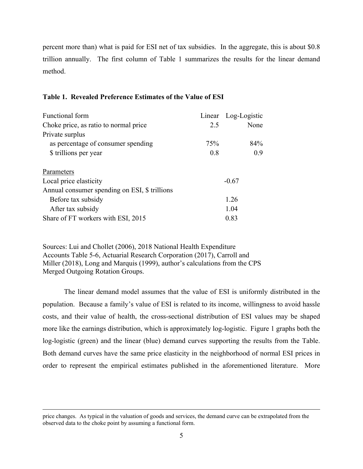percent more than) what is paid for ESI net of tax subsidies. In the aggregate, this is about \$0.8 trillion annually. The first column of Table 1 summarizes the results for the linear demand method.

#### **Table 1. Revealed Preference Estimates of the Value of ESI**

| Functional form                               |         | Linear Log-Logistic |
|-----------------------------------------------|---------|---------------------|
| Choke price, as ratio to normal price         | 2.5     | None                |
| Private surplus                               |         |                     |
| as percentage of consumer spending            | 75%     | 84%                 |
| \$ trillions per year                         | 0.8     | 0.9                 |
| Parameters                                    |         |                     |
| Local price elasticity                        | $-0.67$ |                     |
| Annual consumer spending on ESI, \$ trillions |         |                     |
| Before tax subsidy                            | 1.26    |                     |
| After tax subsidy                             | 1.04    |                     |
| Share of FT workers with ESI, 2015            | 0.83    |                     |

Sources: Lui and Chollet (2006), 2018 National Health Expenditure Accounts Table 5-6, Actuarial Research Corporation (2017), Carroll and Miller (2018), Long and Marquis (1999), author's calculations from the CPS Merged Outgoing Rotation Groups.

The linear demand model assumes that the value of ESI is uniformly distributed in the population. Because a family's value of ESI is related to its income, willingness to avoid hassle costs, and their value of health, the cross-sectional distribution of ESI values may be shaped more like the earnings distribution, which is approximately log-logistic. Figure 1 graphs both the log-logistic (green) and the linear (blue) demand curves supporting the results from the Table. Both demand curves have the same price elasticity in the neighborhood of normal ESI prices in order to represent the empirical estimates published in the aforementioned literature. More

price changes. As typical in the valuation of goods and services, the demand curve can be extrapolated from the observed data to the choke point by assuming a functional form.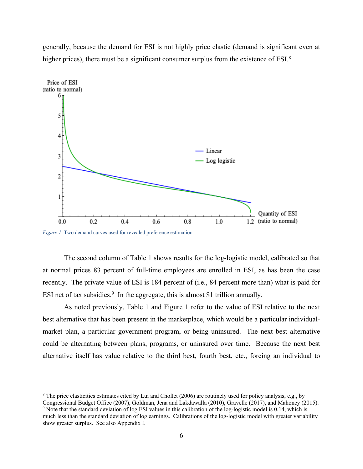generally, because the demand for ESI is not highly price elastic (demand is significant even at higher prices), there must be a significant consumer surplus from the existence of ESI.<sup>8</sup>



*Figure 1* Two demand curves used for revealed preference estimation

The second column of Table 1 shows results for the log-logistic model, calibrated so that at normal prices 83 percent of full-time employees are enrolled in ESI, as has been the case recently. The private value of ESI is 184 percent of (i.e., 84 percent more than) what is paid for ESI net of tax subsidies.<sup>9</sup> In the aggregate, this is almost \$1 trillion annually.

As noted previously, Table 1 and Figure 1 refer to the value of ESI relative to the next best alternative that has been present in the marketplace, which would be a particular individualmarket plan, a particular government program, or being uninsured. The next best alternative could be alternating between plans, programs, or uninsured over time. Because the next best alternative itself has value relative to the third best, fourth best, etc., forcing an individual to

<sup>8</sup> The price elasticities estimates cited by Lui and Chollet (2006) are routinely used for policy analysis, e.g., by

Congressional Budget Office (2007), Goldman, Jena and Lakdawalla (2010), Gravelle (2017), and Mahoney (2015). <sup>9</sup> Note that the standard deviation of log ESI values in this calibration of the log-logistic model is 0.14, which is

much less than the standard deviation of log earnings. Calibrations of the log-logistic model with greater variability show greater surplus. See also Appendix I.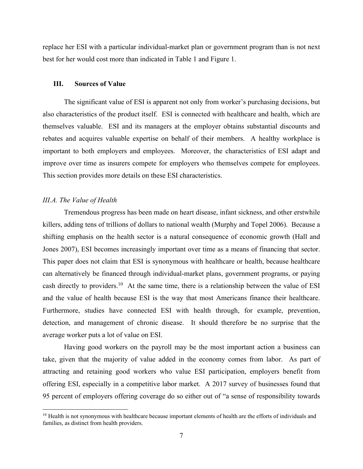replace her ESI with a particular individual-market plan or government program than is not next best for her would cost more than indicated in Table 1 and Figure 1.

#### **III. Sources of Value**

The significant value of ESI is apparent not only from worker's purchasing decisions, but also characteristics of the product itself. ESI is connected with healthcare and health, which are themselves valuable. ESI and its managers at the employer obtains substantial discounts and rebates and acquires valuable expertise on behalf of their members. A healthy workplace is important to both employers and employees. Moreover, the characteristics of ESI adapt and improve over time as insurers compete for employers who themselves compete for employees. This section provides more details on these ESI characteristics.

#### *III.A. The Value of Health*

Tremendous progress has been made on heart disease, infant sickness, and other erstwhile killers, adding tens of trillions of dollars to national wealth (Murphy and Topel 2006). Because a shifting emphasis on the health sector is a natural consequence of economic growth (Hall and Jones 2007), ESI becomes increasingly important over time as a means of financing that sector. This paper does not claim that ESI is synonymous with healthcare or health, because healthcare can alternatively be financed through individual-market plans, government programs, or paying cash directly to providers.10 At the same time, there is a relationship between the value of ESI and the value of health because ESI is the way that most Americans finance their healthcare. Furthermore, studies have connected ESI with health through, for example, prevention, detection, and management of chronic disease. It should therefore be no surprise that the average worker puts a lot of value on ESI.

Having good workers on the payroll may be the most important action a business can take, given that the majority of value added in the economy comes from labor. As part of attracting and retaining good workers who value ESI participation, employers benefit from offering ESI, especially in a competitive labor market. A 2017 survey of businesses found that 95 percent of employers offering coverage do so either out of "a sense of responsibility towards

 $10$  Health is not synonymous with healthcare because important elements of health are the efforts of individuals and families, as distinct from health providers.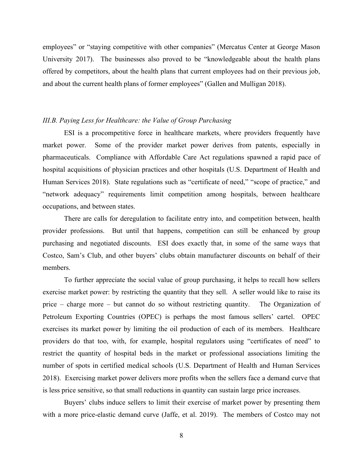employees" or "staying competitive with other companies" (Mercatus Center at George Mason University 2017). The businesses also proved to be "knowledgeable about the health plans offered by competitors, about the health plans that current employees had on their previous job, and about the current health plans of former employees" (Gallen and Mulligan 2018).

#### *III.B. Paying Less for Healthcare: the Value of Group Purchasing*

ESI is a procompetitive force in healthcare markets, where providers frequently have market power. Some of the provider market power derives from patents, especially in pharmaceuticals. Compliance with Affordable Care Act regulations spawned a rapid pace of hospital acquisitions of physician practices and other hospitals (U.S. Department of Health and Human Services 2018). State regulations such as "certificate of need," "scope of practice," and "network adequacy" requirements limit competition among hospitals, between healthcare occupations, and between states.

There are calls for deregulation to facilitate entry into, and competition between, health provider professions. But until that happens, competition can still be enhanced by group purchasing and negotiated discounts. ESI does exactly that, in some of the same ways that Costco, Sam's Club, and other buyers' clubs obtain manufacturer discounts on behalf of their members.

To further appreciate the social value of group purchasing, it helps to recall how sellers exercise market power: by restricting the quantity that they sell. A seller would like to raise its price – charge more – but cannot do so without restricting quantity. The Organization of Petroleum Exporting Countries (OPEC) is perhaps the most famous sellers' cartel. OPEC exercises its market power by limiting the oil production of each of its members. Healthcare providers do that too, with, for example, hospital regulators using "certificates of need" to restrict the quantity of hospital beds in the market or professional associations limiting the number of spots in certified medical schools (U.S. Department of Health and Human Services 2018). Exercising market power delivers more profits when the sellers face a demand curve that is less price sensitive, so that small reductions in quantity can sustain large price increases.

Buyers' clubs induce sellers to limit their exercise of market power by presenting them with a more price-elastic demand curve (Jaffe, et al. 2019). The members of Costco may not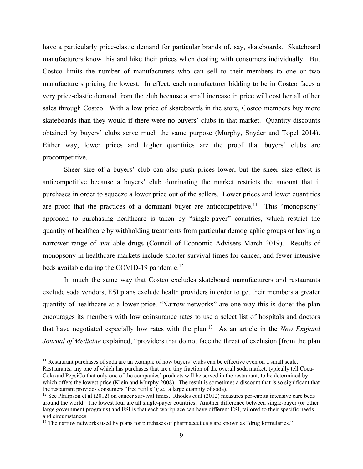have a particularly price-elastic demand for particular brands of, say, skateboards. Skateboard manufacturers know this and hike their prices when dealing with consumers individually. But Costco limits the number of manufacturers who can sell to their members to one or two manufacturers pricing the lowest. In effect, each manufacturer bidding to be in Costco faces a very price-elastic demand from the club because a small increase in price will cost her all of her sales through Costco. With a low price of skateboards in the store, Costco members buy more skateboards than they would if there were no buyers' clubs in that market. Quantity discounts obtained by buyers' clubs serve much the same purpose (Murphy, Snyder and Topel 2014). Either way, lower prices and higher quantities are the proof that buyers' clubs are procompetitive.

Sheer size of a buyers' club can also push prices lower, but the sheer size effect is anticompetitive because a buyers' club dominating the market restricts the amount that it purchases in order to squeeze a lower price out of the sellers. Lower prices and lower quantities are proof that the practices of a dominant buyer are anticompetitive.<sup>11</sup> This "monopsony" approach to purchasing healthcare is taken by "single-payer" countries, which restrict the quantity of healthcare by withholding treatments from particular demographic groups or having a narrower range of available drugs (Council of Economic Advisers March 2019). Results of monopsony in healthcare markets include shorter survival times for cancer, and fewer intensive beds available during the COVID-19 pandemic.<sup>12</sup>

In much the same way that Costco excludes skateboard manufacturers and restaurants exclude soda vendors, ESI plans exclude health providers in order to get their members a greater quantity of healthcare at a lower price. "Narrow networks" are one way this is done: the plan encourages its members with low coinsurance rates to use a select list of hospitals and doctors that have negotiated especially low rates with the plan.13 As an article in the *New England Journal of Medicine* explained, "providers that do not face the threat of exclusion [from the plan

<sup>&</sup>lt;sup>11</sup> Restaurant purchases of soda are an example of how buyers' clubs can be effective even on a small scale.

Restaurants, any one of which has purchases that are a tiny fraction of the overall soda market, typically tell Coca-Cola and PepsiCo that only one of the companies' products will be served in the restaurant, to be determined by which offers the lowest price (Klein and Murphy 2008). The result is sometimes a discount that is so significant that the restaurant provides consumers "free refills" (i.e., a large quantity of soda).

 $12$  See Philipson et al (2012) on cancer survival times. Rhodes et al (2012) measures per-capita intensive care beds around the world. The lowest four are all single-payer countries. Another difference between single-payer (or other large government programs) and ESI is that each workplace can have different ESI, tailored to their specific needs and circumstances.

<sup>&</sup>lt;sup>13</sup> The narrow networks used by plans for purchases of pharmaceuticals are known as "drug formularies."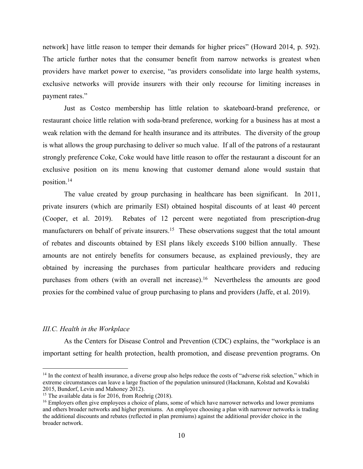network] have little reason to temper their demands for higher prices" (Howard 2014, p. 592). The article further notes that the consumer benefit from narrow networks is greatest when providers have market power to exercise, "as providers consolidate into large health systems, exclusive networks will provide insurers with their only recourse for limiting increases in payment rates."

Just as Costco membership has little relation to skateboard-brand preference, or restaurant choice little relation with soda-brand preference, working for a business has at most a weak relation with the demand for health insurance and its attributes. The diversity of the group is what allows the group purchasing to deliver so much value. If all of the patrons of a restaurant strongly preference Coke, Coke would have little reason to offer the restaurant a discount for an exclusive position on its menu knowing that customer demand alone would sustain that position. 14

The value created by group purchasing in healthcare has been significant. In 2011, private insurers (which are primarily ESI) obtained hospital discounts of at least 40 percent (Cooper, et al. 2019). Rebates of 12 percent were negotiated from prescription-drug manufacturers on behalf of private insurers.<sup>15</sup> These observations suggest that the total amount of rebates and discounts obtained by ESI plans likely exceeds \$100 billion annually. These amounts are not entirely benefits for consumers because, as explained previously, they are obtained by increasing the purchases from particular healthcare providers and reducing purchases from others (with an overall net increase).<sup>16</sup> Nevertheless the amounts are good proxies for the combined value of group purchasing to plans and providers (Jaffe, et al. 2019).

#### *III.C. Health in the Workplace*

As the Centers for Disease Control and Prevention (CDC) explains, the "workplace is an important setting for health protection, health promotion, and disease prevention programs. On

<sup>&</sup>lt;sup>14</sup> In the context of health insurance, a diverse group also helps reduce the costs of "adverse risk selection," which in extreme circumstances can leave a large fraction of the population uninsured (Hackmann, Kolstad and Kowalski 2015, Bundorf, Levin and Mahoney 2012).

<sup>&</sup>lt;sup>15</sup> The available data is for 2016, from Roehrig (2018).

<sup>&</sup>lt;sup>16</sup> Employers often give employees a choice of plans, some of which have narrower networks and lower premiums and others broader networks and higher premiums. An employee choosing a plan with narrower networks is trading the additional discounts and rebates (reflected in plan premiums) against the additional provider choice in the broader network.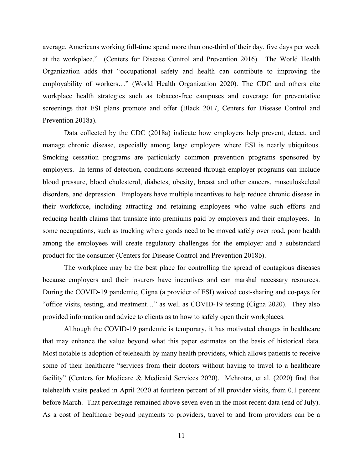average, Americans working full-time spend more than one-third of their day, five days per week at the workplace." (Centers for Disease Control and Prevention 2016). The World Health Organization adds that "occupational safety and health can contribute to improving the employability of workers…" (World Health Organization 2020). The CDC and others cite workplace health strategies such as tobacco-free campuses and coverage for preventative screenings that ESI plans promote and offer (Black 2017, Centers for Disease Control and Prevention 2018a).

Data collected by the CDC (2018a) indicate how employers help prevent, detect, and manage chronic disease, especially among large employers where ESI is nearly ubiquitous. Smoking cessation programs are particularly common prevention programs sponsored by employers. In terms of detection, conditions screened through employer programs can include blood pressure, blood cholesterol, diabetes, obesity, breast and other cancers, musculoskeletal disorders, and depression. Employers have multiple incentives to help reduce chronic disease in their workforce, including attracting and retaining employees who value such efforts and reducing health claims that translate into premiums paid by employers and their employees. In some occupations, such as trucking where goods need to be moved safely over road, poor health among the employees will create regulatory challenges for the employer and a substandard product for the consumer (Centers for Disease Control and Prevention 2018b).

The workplace may be the best place for controlling the spread of contagious diseases because employers and their insurers have incentives and can marshal necessary resources. During the COVID-19 pandemic, Cigna (a provider of ESI) waived cost-sharing and co-pays for "office visits, testing, and treatment…" as well as COVID-19 testing (Cigna 2020). They also provided information and advice to clients as to how to safely open their workplaces.

Although the COVID-19 pandemic is temporary, it has motivated changes in healthcare that may enhance the value beyond what this paper estimates on the basis of historical data. Most notable is adoption of telehealth by many health providers, which allows patients to receive some of their healthcare "services from their doctors without having to travel to a healthcare facility" (Centers for Medicare & Medicaid Services 2020). Mehrotra, et al. (2020) find that telehealth visits peaked in April 2020 at fourteen percent of all provider visits, from 0.1 percent before March. That percentage remained above seven even in the most recent data (end of July). As a cost of healthcare beyond payments to providers, travel to and from providers can be a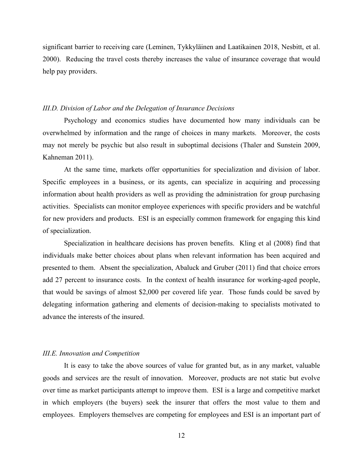significant barrier to receiving care (Leminen, Tykkyläinen and Laatikainen 2018, Nesbitt, et al. 2000). Reducing the travel costs thereby increases the value of insurance coverage that would help pay providers.

#### *III.D. Division of Labor and the Delegation of Insurance Decisions*

Psychology and economics studies have documented how many individuals can be overwhelmed by information and the range of choices in many markets. Moreover, the costs may not merely be psychic but also result in suboptimal decisions (Thaler and Sunstein 2009, Kahneman 2011).

At the same time, markets offer opportunities for specialization and division of labor. Specific employees in a business, or its agents, can specialize in acquiring and processing information about health providers as well as providing the administration for group purchasing activities. Specialists can monitor employee experiences with specific providers and be watchful for new providers and products. ESI is an especially common framework for engaging this kind of specialization.

Specialization in healthcare decisions has proven benefits. Kling et al (2008) find that individuals make better choices about plans when relevant information has been acquired and presented to them. Absent the specialization, Abaluck and Gruber (2011) find that choice errors add 27 percent to insurance costs. In the context of health insurance for working-aged people, that would be savings of almost \$2,000 per covered life year. Those funds could be saved by delegating information gathering and elements of decision-making to specialists motivated to advance the interests of the insured.

### *III.E. Innovation and Competition*

It is easy to take the above sources of value for granted but, as in any market, valuable goods and services are the result of innovation. Moreover, products are not static but evolve over time as market participants attempt to improve them. ESI is a large and competitive market in which employers (the buyers) seek the insurer that offers the most value to them and employees. Employers themselves are competing for employees and ESI is an important part of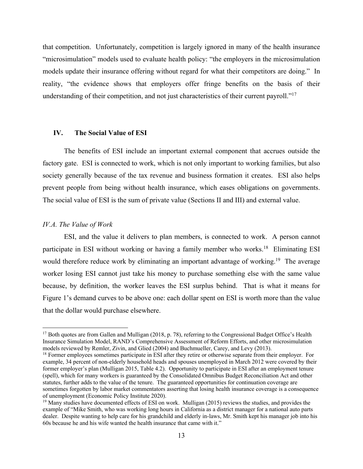that competition. Unfortunately, competition is largely ignored in many of the health insurance "microsimulation" models used to evaluate health policy: "the employers in the microsimulation models update their insurance offering without regard for what their competitors are doing." In reality, "the evidence shows that employers offer fringe benefits on the basis of their understanding of their competition, and not just characteristics of their current payroll."<sup>17</sup>

#### **IV. The Social Value of ESI**

The benefits of ESI include an important external component that accrues outside the factory gate. ESI is connected to work, which is not only important to working families, but also society generally because of the tax revenue and business formation it creates. ESI also helps prevent people from being without health insurance, which eases obligations on governments. The social value of ESI is the sum of private value (Sections II and III) and external value.

#### *IV.A. The Value of Work*

ESI, and the value it delivers to plan members, is connected to work. A person cannot participate in ESI without working or having a family member who works.<sup>18</sup> Eliminating ESI would therefore reduce work by eliminating an important advantage of working.<sup>19</sup> The average worker losing ESI cannot just take his money to purchase something else with the same value because, by definition, the worker leaves the ESI surplus behind. That is what it means for Figure 1's demand curves to be above one: each dollar spent on ESI is worth more than the value that the dollar would purchase elsewhere.

 $17$  Both quotes are from Gallen and Mulligan (2018, p. 78), referring to the Congressional Budget Office's Health Insurance Simulation Model, RAND's Comprehensive Assessment of Reform Efforts, and other microsimulation models reviewed by Remler, Zivin, and Glied (2004) and Buchmueller, Carey, and Levy (2013).

<sup>&</sup>lt;sup>18</sup> Former employees sometimes participate in ESI after they retire or otherwise separate from their employer. For example, 34 percent of non-elderly household heads and spouses unemployed in March 2012 were covered by their former employer's plan (Mulligan 2015, Table 4.2). Opportunity to participate in ESI after an employment tenure (spell), which for many workers is guaranteed by the Consolidated Omnibus Budget Reconciliation Act and other statutes, further adds to the value of the tenure. The guaranteed opportunities for continuation coverage are sometimes forgotten by labor market commentators asserting that losing health insurance coverage is a consequence of unemployment (Economic Policy Institute 2020).

<sup>&</sup>lt;sup>19</sup> Many studies have documented effects of ESI on work. Mulligan (2015) reviews the studies, and provides the example of "Mike Smith, who was working long hours in California as a district manager for a national auto parts dealer. Despite wanting to help care for his grandchild and elderly in-laws, Mr. Smith kept his manager job into his 60s because he and his wife wanted the health insurance that came with it."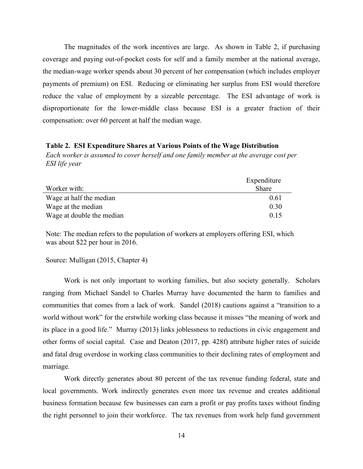The magnitudes of the work incentives are large. As shown in Table 2, if purchasing coverage and paying out-of-pocket costs for self and a family member at the national average, the median-wage worker spends about 30 percent of her compensation (which includes employer payments of premium) on ESI. Reducing or eliminating her surplus from ESI would therefore reduce the value of employment by a sizeable percentage. The ESI advantage of work is disproportionate for the lower-middle class because ESI is a greater fraction of their compensation: over 60 percent at half the median wage.

#### **Table 2. ESI Expenditure Shares at Various Points of the Wage Distribution**

*Each worker is assumed to cover herself and one family member at the average cost per ESI life year*

|                           | Expenditure  |
|---------------------------|--------------|
| Worker with:              | <b>Share</b> |
| Wage at half the median   | 0.61         |
| Wage at the median        | 0.30         |
| Wage at double the median | 0.15         |

Note: The median refers to the population of workers at employers offering ESI, which was about \$22 per hour in 2016.

#### Source: Mulligan (2015, Chapter 4)

Work is not only important to working families, but also society generally. Scholars ranging from Michael Sandel to Charles Murray have documented the harm to families and communities that comes from a lack of work. Sandel (2018) cautions against a "transition to a world without work" for the erstwhile working class because it misses "the meaning of work and its place in a good life." Murray (2013) links joblessness to reductions in civic engagement and other forms of social capital. Case and Deaton (2017, pp. 428f) attribute higher rates of suicide and fatal drug overdose in working class communities to their declining rates of employment and marriage.

Work directly generates about 80 percent of the tax revenue funding federal, state and local governments. Work indirectly generates even more tax revenue and creates additional business formation because few businesses can earn a profit or pay profits taxes without finding the right personnel to join their workforce. The tax revenues from work help fund government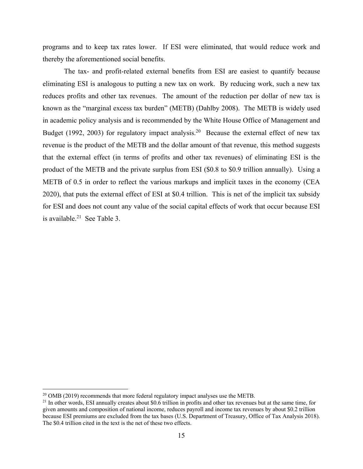programs and to keep tax rates lower. If ESI were eliminated, that would reduce work and thereby the aforementioned social benefits.

The tax- and profit-related external benefits from ESI are easiest to quantify because eliminating ESI is analogous to putting a new tax on work. By reducing work, such a new tax reduces profits and other tax revenues. The amount of the reduction per dollar of new tax is known as the "marginal excess tax burden" (METB) (Dahlby 2008). The METB is widely used in academic policy analysis and is recommended by the White House Office of Management and Budget (1992, 2003) for regulatory impact analysis.<sup>20</sup> Because the external effect of new tax revenue is the product of the METB and the dollar amount of that revenue, this method suggests that the external effect (in terms of profits and other tax revenues) of eliminating ESI is the product of the METB and the private surplus from ESI (\$0.8 to \$0.9 trillion annually). Using a METB of 0.5 in order to reflect the various markups and implicit taxes in the economy (CEA 2020), that puts the external effect of ESI at \$0.4 trillion. This is net of the implicit tax subsidy for ESI and does not count any value of the social capital effects of work that occur because ESI is available. $21$  See Table 3.

<sup>&</sup>lt;sup>20</sup> OMB (2019) recommends that more federal regulatory impact analyses use the METB.

 $^{21}$  In other words, ESI annually creates about \$0.6 trillion in profits and other tax revenues but at the same time, for given amounts and composition of national income, reduces payroll and income tax revenues by about \$0.2 trillion because ESI premiums are excluded from the tax bases (U.S. Department of Treasury, Office of Tax Analysis 2018). The \$0.4 trillion cited in the text is the net of these two effects.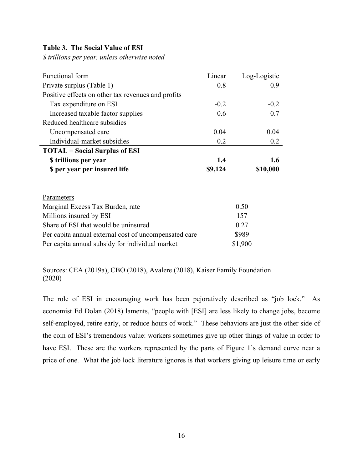#### **Table 3. The Social Value of ESI**

*\$ trillions per year, unless otherwise noted*

| Functional form                                       | Linear  | Log-Logistic     |  |
|-------------------------------------------------------|---------|------------------|--|
| Private surplus (Table 1)                             | 0.8     | 0.9 <sub>0</sub> |  |
| Positive effects on other tax revenues and profits    |         |                  |  |
| Tax expenditure on ESI                                | $-0.2$  | $-0.2$           |  |
| Increased taxable factor supplies                     | 0.6     | 0.7              |  |
| Reduced healthcare subsidies                          |         |                  |  |
| Uncompensated care                                    | 0.04    | 0.04             |  |
| Individual-market subsidies                           | 0.2     | 0.2              |  |
| <b>TOTAL</b> = Social Surplus of ESI                  |         |                  |  |
| \$ trillions per year                                 | 1.4     | 1.6              |  |
| \$ per year per insured life                          | \$9,124 | \$10,000         |  |
|                                                       |         |                  |  |
|                                                       |         |                  |  |
| <b>Parameters</b>                                     |         |                  |  |
| Marginal Excess Tax Burden, rate                      |         | 0.50             |  |
| Millions insured by ESI                               |         | 157              |  |
| Share of ESI that would be uninsured                  |         | 0.27             |  |
| Per capita annual external cost of uncompensated care |         | \$989            |  |
| Per capita annual subsidy for individual market       |         | \$1,900          |  |

Sources: CEA (2019a), CBO (2018), Avalere (2018), Kaiser Family Foundation (2020)

The role of ESI in encouraging work has been pejoratively described as "job lock." As economist Ed Dolan (2018) laments, "people with [ESI] are less likely to change jobs, become self-employed, retire early, or reduce hours of work." These behaviors are just the other side of the coin of ESI's tremendous value: workers sometimes give up other things of value in order to have ESI. These are the workers represented by the parts of Figure 1's demand curve near a price of one. What the job lock literature ignores is that workers giving up leisure time or early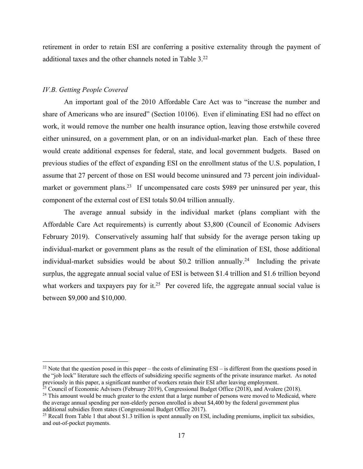retirement in order to retain ESI are conferring a positive externality through the payment of additional taxes and the other channels noted in Table 3.22

## *IV.B. Getting People Covered*

An important goal of the 2010 Affordable Care Act was to "increase the number and share of Americans who are insured" (Section 10106). Even if eliminating ESI had no effect on work, it would remove the number one health insurance option, leaving those erstwhile covered either uninsured, on a government plan, or on an individual-market plan. Each of these three would create additional expenses for federal, state, and local government budgets. Based on previous studies of the effect of expanding ESI on the enrollment status of the U.S. population, I assume that 27 percent of those on ESI would become uninsured and 73 percent join individualmarket or government plans.<sup>23</sup> If uncompensated care costs \$989 per uninsured per year, this component of the external cost of ESI totals \$0.04 trillion annually.

The average annual subsidy in the individual market (plans compliant with the Affordable Care Act requirements) is currently about \$3,800 (Council of Economic Advisers February 2019). Conservatively assuming half that subsidy for the average person taking up individual-market or government plans as the result of the elimination of ESI, those additional individual-market subsidies would be about \$0.2 trillion annually.<sup>24</sup> Including the private surplus, the aggregate annual social value of ESI is between \$1.4 trillion and \$1.6 trillion beyond what workers and taxpayers pay for it.<sup>25</sup> Per covered life, the aggregate annual social value is between \$9,000 and \$10,000.

<sup>&</sup>lt;sup>22</sup> Note that the question posed in this paper – the costs of eliminating  $ESI -$  is different from the questions posed in the "job lock" literature such the effects of subsidizing specific segments of the private insurance market. As noted previously in this paper, a significant number of workers retain their ESI after leaving employment.

 $^{23}$  Council of Economic Advisers (February 2019), Congressional Budget Office (2018), and Avalere (2018). <sup>24</sup> This amount would be much greater to the extent that a large number of persons were moved to Medicaid, where

the average annual spending per non-elderly person enrolled is about \$4,400 by the federal government plus additional subsidies from states (Congressional Budget Office 2017).

<sup>&</sup>lt;sup>25</sup> Recall from Table 1 that about \$1.3 trillion is spent annually on ESI, including premiums, implicit tax subsidies, and out-of-pocket payments.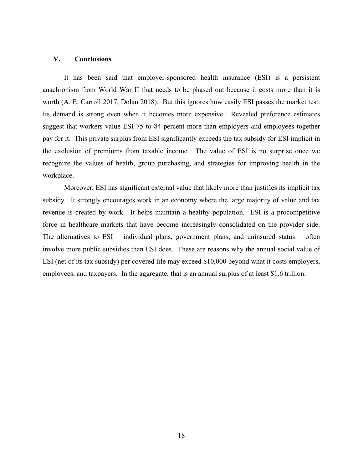## **V. Conclusions**

It has been said that employer-sponsored health insurance (ESI) is a persistent anachronism from World War II that needs to be phased out because it costs more than it is worth (A. E. Carroll 2017, Dolan 2018). But this ignores how easily ESI passes the market test. Its demand is strong even when it becomes more expensive. Revealed preference estimates suggest that workers value ESI 75 to 84 percent more than employers and employees together pay for it. This private surplus from ESI significantly exceeds the tax subsidy for ESI implicit in the exclusion of premiums from taxable income. The value of ESI is no surprise once we recognize the values of health, group purchasing, and strategies for improving health in the workplace.

Moreover, ESI has significant external value that likely more than justifies its implicit tax subsidy. It strongly encourages work in an economy where the large majority of value and tax revenue is created by work. It helps maintain a healthy population. ESI is a procompetitive force in healthcare markets that have become increasingly consolidated on the provider side. The alternatives to ESI – individual plans, government plans, and uninsured status – often involve more public subsidies than ESI does. These are reasons why the annual social value of ESI (net of its tax subsidy) per covered life may exceed \$10,000 beyond what it costs employers, employees, and taxpayers. In the aggregate, that is an annual surplus of at least \$1.6 trillion.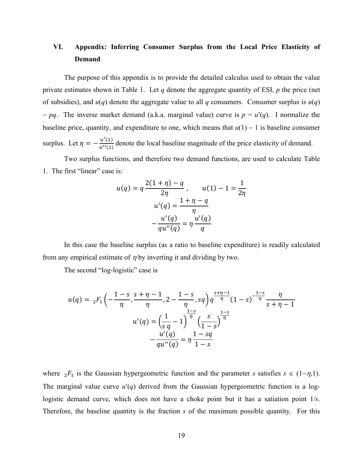# **VI. Appendix: Inferring Consumer Surplus from the Local Price Elasticity of Demand**

The purpose of this appendix is to provide the detailed calculus used to obtain the value private estimates shown in Table 1. Let *q* denote the aggregate quantity of ESI, *p* the price (net of subsidies), and  $u(q)$  denote the aggregate value to all q consumers. Consumer surplus is  $u(q)$ - *pq*. The inverse market demand (a.k.a. marginal value) curve is  $p = u'(q)$ . I normalize the baseline price, quantity, and expenditure to one, which means that  $u(1) - 1$  is baseline consumer surplus. Let  $\eta = -\frac{u'(1)}{u''(1)}$  denote the local baseline magnitude of the price elasticity of demand.

Two surplus functions, and therefore two demand functions, are used to calculate Table 1. The first "linear" case is:

$$
u(q) = q \frac{2(1+\eta) - q}{2\eta}, \qquad u(1) - 1 = \frac{1}{2\eta}
$$

$$
u'(q) = \frac{1+\eta - q}{\eta}
$$

$$
-\frac{u'(q)}{qu''(q)} = \eta \frac{u'(q)}{q}
$$

In this case the baseline surplus (as a ratio to baseline expenditure) is readily calculated from any empirical estimate of  $\eta$  by inverting it and dividing by two.

The second "log-logistic" case is

$$
u(q) = {}_{2}F_{1}\left(-\frac{1-s}{\eta}, \frac{s+\eta-1}{\eta}, 2-\frac{1-s}{\eta}, sq\right)q^{\frac{s+\eta-1}{\eta}}(1-s)^{-\frac{1-s}{\eta}}\frac{\eta}{s+\eta-1}
$$

$$
u'(q) = \left(\frac{1}{s} - 1\right)^{\frac{1-s}{\eta}}\left(\frac{s}{1-s}\right)^{\frac{1-s}{\eta}}
$$

$$
-\frac{u'(q)}{qu''(q)} = \eta \frac{1-sq}{1-s}
$$

where  ${}_2F_1$  is the Gaussian hypergeometric function and the parameter *s* satisfies  $s \in (1-\eta,1)$ . The marginal value curve  $u'(q)$  derived from the Gaussian hypergeometric function is a loglogistic demand curve, which does not have a choke point but it has a satiation point 1/*s*. Therefore, the baseline quantity is the fraction *s* of the maximum possible quantity. For this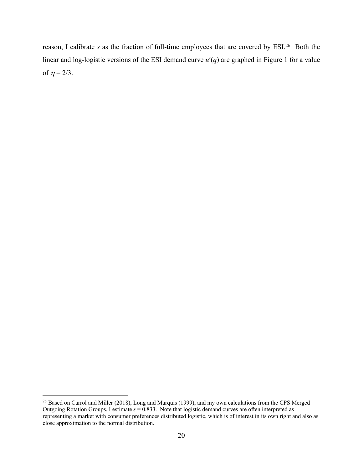reason, I calibrate *s* as the fraction of full-time employees that are covered by ESI.<sup>26</sup> Both the linear and log-logistic versions of the ESI demand curve  $u'(q)$  are graphed in Figure 1 for a value of  $\eta = 2/3$ .

<sup>&</sup>lt;sup>26</sup> Based on Carrol and Miller (2018), Long and Marquis (1999), and my own calculations from the CPS Merged Outgoing Rotation Groups, I estimate *s* = 0.833. Note that logistic demand curves are often interpreted as representing a market with consumer preferences distributed logistic, which is of interest in its own right and also as close approximation to the normal distribution.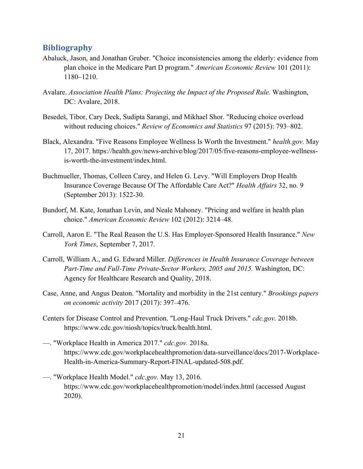# **Bibliography**

- Abaluck, Jason, and Jonathan Gruber. "Choice inconsistencies among the elderly: evidence from plan choice in the Medicare Part D program." *American Economic Review* 101 (2011): 1180–1210.
- Avalare. *Association Health Plans: Projecting the Impact of the Proposed Rule.* Washington, DC: Avalare, 2018.
- Besedeš, Tibor, Cary Deck, Sudipta Sarangi, and Mikhael Shor. "Reducing choice overload without reducing choices." *Review of Economics and Statistics* 97 (2015): 793–802.
- Black, Alexandra. "Five Reasons Employee Wellness Is Worth the Investment." *health.gov.* May 17, 2017. https://health.gov/news-archive/blog/2017/05/five-reasons-employee-wellnessis-worth-the-investment/index.html.
- Buchmueller, Thomas, Colleen Carey, and Helen G. Levy. "Will Employers Drop Health Insurance Coverage Because Of The Affordable Care Act?" *Health Affairs* 32, no. 9 (September 2013): 1522-30.
- Bundorf, M. Kate, Jonathan Levin, and Neale Mahoney. "Pricing and welfare in health plan choice." *American Economic Review* 102 (2012): 3214–48.
- Carroll, Aaron E. "The Real Reason the U.S. Has Employer-Sponsored Health Insurance." *New York Times*, September 7, 2017.
- Carroll, William A., and G. Edward Miller. *Differences in Health Insurance Coverage between Part-Time and Full-Time Private-Sector Workers, 2005 and 2015.* Washington, DC: Agency for Healthcare Research and Quality, 2018.
- Case, Anne, and Angus Deaton. "Mortality and morbidity in the 21st century." *Brookings papers on economic activity* 2017 (2017): 397–476.
- Centers for Disease Control and Prevention. "Long-Haul Truck Drivers." *cdc.gov.* 2018b. https://www.cdc.gov/niosh/topics/truck/health.html.
- —. "Workplace Health in America 2017." *cdc.gov.* 2018a. https://www.cdc.gov/workplacehealthpromotion/data-surveillance/docs/2017-Workplace-Health-in-America-Summary-Report-FINAL-updated-508.pdf.
- —. "Workplace Health Model." *cdc.gov.* May 13, 2016. https://www.cdc.gov/workplacehealthpromotion/model/index.html (accessed August 2020).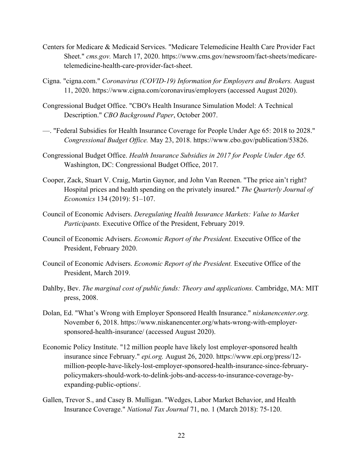- Centers for Medicare & Medicaid Services. "Medicare Telemedicine Health Care Provider Fact Sheet." *cms.gov.* March 17, 2020. https://www.cms.gov/newsroom/fact-sheets/medicaretelemedicine-health-care-provider-fact-sheet.
- Cigna. "cigna.com." *Coronavirus (COVID-19) Information for Employers and Brokers.* August 11, 2020. https://www.cigna.com/coronavirus/employers (accessed August 2020).
- Congressional Budget Office. "CBO's Health Insurance Simulation Model: A Technical Description." *CBO Background Paper*, October 2007.
- —. "Federal Subsidies for Health Insurance Coverage for People Under Age 65: 2018 to 2028." *Congressional Budget Office.* May 23, 2018. https://www.cbo.gov/publication/53826.
- Congressional Budget Office. *Health Insurance Subsidies in 2017 for People Under Age 65.* Washington, DC: Congressional Budget Office, 2017.
- Cooper, Zack, Stuart V. Craig, Martin Gaynor, and John Van Reenen. "The price ain't right? Hospital prices and health spending on the privately insured." *The Quarterly Journal of Economics* 134 (2019): 51–107.
- Council of Economic Advisers. *Deregulating Health Insurance Markets: Value to Market Participants.* Executive Office of the President, February 2019.
- Council of Economic Advisers. *Economic Report of the President.* Executive Office of the President, February 2020.
- Council of Economic Advisers. *Economic Report of the President.* Executive Office of the President, March 2019.
- Dahlby, Bev. *The marginal cost of public funds: Theory and applications.* Cambridge, MA: MIT press, 2008.
- Dolan, Ed. "What's Wrong with Employer Sponsored Health Insurance." *niskanencenter.org.* November 6, 2018. https://www.niskanencenter.org/whats-wrong-with-employersponsored-health-insurance/ (accessed August 2020).
- Economic Policy Institute. "12 million people have likely lost employer-sponsored health insurance since February." *epi.org.* August 26, 2020. https://www.epi.org/press/12 million-people-have-likely-lost-employer-sponsored-health-insurance-since-februarypolicymakers-should-work-to-delink-jobs-and-access-to-insurance-coverage-byexpanding-public-options/.
- Gallen, Trevor S., and Casey B. Mulligan. "Wedges, Labor Market Behavior, and Health Insurance Coverage." *National Tax Journal* 71, no. 1 (March 2018): 75-120.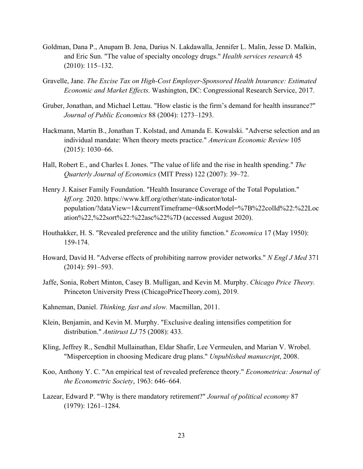- Goldman, Dana P., Anupam B. Jena, Darius N. Lakdawalla, Jennifer L. Malin, Jesse D. Malkin, and Eric Sun. "The value of specialty oncology drugs." *Health services research* 45 (2010): 115–132.
- Gravelle, Jane. *The Excise Tax on High-Cost Employer-Sponsored Health Insurance: Estimated Economic and Market Effects.* Washington, DC: Congressional Research Service, 2017.
- Gruber, Jonathan, and Michael Lettau. "How elastic is the firm's demand for health insurance?" *Journal of Public Economics* 88 (2004): 1273–1293.
- Hackmann, Martin B., Jonathan T. Kolstad, and Amanda E. Kowalski. "Adverse selection and an individual mandate: When theory meets practice." *American Economic Review* 105 (2015): 1030–66.
- Hall, Robert E., and Charles I. Jones. "The value of life and the rise in health spending." *The Quarterly Journal of Economics* (MIT Press) 122 (2007): 39–72.
- Henry J. Kaiser Family Foundation. "Health Insurance Coverage of the Total Population." *kff.org.* 2020. https://www.kff.org/other/state-indicator/totalpopulation/?dataView=1&currentTimeframe=0&sortModel=%7B%22colId%22:%22Loc ation%22,%22sort%22:%22asc%22%7D (accessed August 2020).
- Houthakker, H. S. "Revealed preference and the utility function." *Economica* 17 (May 1950): 159-174.
- Howard, David H. "Adverse effects of prohibiting narrow provider networks." *N Engl J Med* 371 (2014): 591–593.
- Jaffe, Sonia, Robert Minton, Casey B. Mulligan, and Kevin M. Murphy. *Chicago Price Theory.* Princeton University Press (ChicagoPriceTheory.com), 2019.
- Kahneman, Daniel. *Thinking, fast and slow.* Macmillan, 2011.
- Klein, Benjamin, and Kevin M. Murphy. "Exclusive dealing intensifies competition for distribution." *Antitrust LJ* 75 (2008): 433.
- Kling, Jeffrey R., Sendhil Mullainathan, Eldar Shafir, Lee Vermeulen, and Marian V. Wrobel. "Misperception in choosing Medicare drug plans." *Unpublished manuscript*, 2008.
- Koo, Anthony Y. C. "An empirical test of revealed preference theory." *Econometrica: Journal of the Econometric Society*, 1963: 646–664.
- Lazear, Edward P. "Why is there mandatory retirement?" *Journal of political economy* 87 (1979): 1261–1284.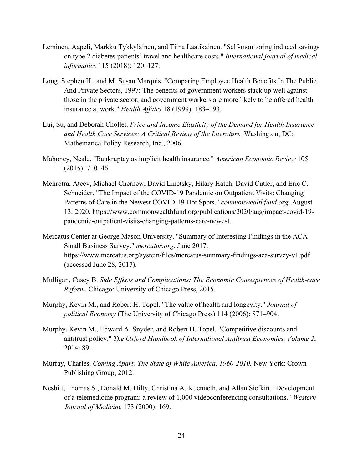- Leminen, Aapeli, Markku Tykkyläinen, and Tiina Laatikainen. "Self-monitoring induced savings on type 2 diabetes patients' travel and healthcare costs." *International journal of medical informatics* 115 (2018): 120–127.
- Long, Stephen H., and M. Susan Marquis. "Comparing Employee Health Benefits In The Public And Private Sectors, 1997: The benefits of government workers stack up well against those in the private sector, and government workers are more likely to be offered health insurance at work." *Health Affairs* 18 (1999): 183–193.
- Lui, Su, and Deborah Chollet. *Price and Income Elasticity of the Demand for Health Insurance and Health Care Services: A Critical Review of the Literature.* Washington, DC: Mathematica Policy Research, Inc., 2006.
- Mahoney, Neale. "Bankruptcy as implicit health insurance." *American Economic Review* 105 (2015): 710–46.
- Mehrotra, Ateev, Michael Chernew, David Linetsky, Hilary Hatch, David Cutler, and Eric C. Schneider. "The Impact of the COVID-19 Pandemic on Outpatient Visits: Changing Patterns of Care in the Newest COVID-19 Hot Spots." *commonwealthfund.org.* August 13, 2020. https://www.commonwealthfund.org/publications/2020/aug/impact-covid-19 pandemic-outpatient-visits-changing-patterns-care-newest.
- Mercatus Center at George Mason University. "Summary of Interesting Findings in the ACA Small Business Survey." *mercatus.org.* June 2017. https://www.mercatus.org/system/files/mercatus-summary-findings-aca-survey-v1.pdf (accessed June 28, 2017).
- Mulligan, Casey B. *Side Effects and Complications: The Economic Consequences of Health-care Reform.* Chicago: University of Chicago Press, 2015.
- Murphy, Kevin M., and Robert H. Topel. "The value of health and longevity." *Journal of political Economy* (The University of Chicago Press) 114 (2006): 871–904.
- Murphy, Kevin M., Edward A. Snyder, and Robert H. Topel. "Competitive discounts and antitrust policy." *The Oxford Handbook of International Antitrust Economics, Volume 2*, 2014: 89.
- Murray, Charles. *Coming Apart: The State of White America, 1960-2010.* New York: Crown Publishing Group, 2012.
- Nesbitt, Thomas S., Donald M. Hilty, Christina A. Kuenneth, and Allan Siefkin. "Development of a telemedicine program: a review of 1,000 videoconferencing consultations." *Western Journal of Medicine* 173 (2000): 169.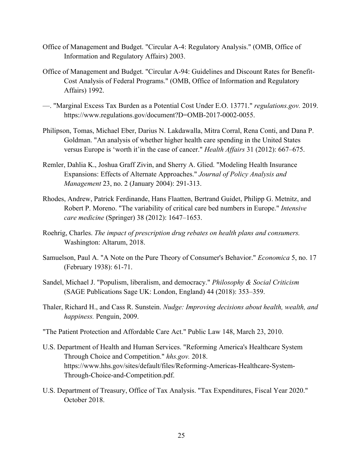- Office of Management and Budget. "Circular A-4: Regulatory Analysis." (OMB, Office of Information and Regulatory Affairs) 2003.
- Office of Management and Budget. "Circular A-94: Guidelines and Discount Rates for Benefit-Cost Analysis of Federal Programs." (OMB, Office of Information and Regulatory Affairs) 1992.
- —. "Marginal Excess Tax Burden as a Potential Cost Under E.O. 13771." *regulations.gov.* 2019. https://www.regulations.gov/document?D=OMB-2017-0002-0055.
- Philipson, Tomas, Michael Eber, Darius N. Lakdawalla, Mitra Corral, Rena Conti, and Dana P. Goldman. "An analysis of whether higher health care spending in the United States versus Europe is 'worth it'in the case of cancer." *Health Affairs* 31 (2012): 667–675.
- Remler, Dahlia K., Joshua Graff Zivin, and Sherry A. Glied. "Modeling Health Insurance Expansions: Effects of Alternate Approaches." *Journal of Policy Analysis and Management* 23, no. 2 (January 2004): 291-313.
- Rhodes, Andrew, Patrick Ferdinande, Hans Flaatten, Bertrand Guidet, Philipp G. Metnitz, and Robert P. Moreno. "The variability of critical care bed numbers in Europe." *Intensive care medicine* (Springer) 38 (2012): 1647–1653.
- Roehrig, Charles. *The impact of prescription drug rebates on health plans and consumers.* Washington: Altarum, 2018.
- Samuelson, Paul A. "A Note on the Pure Theory of Consumer's Behavior." *Economica* 5, no. 17 (February 1938): 61-71.
- Sandel, Michael J. "Populism, liberalism, and democracy." *Philosophy & Social Criticism* (SAGE Publications Sage UK: London, England) 44 (2018): 353–359.
- Thaler, Richard H., and Cass R. Sunstein. *Nudge: Improving decisions about health, wealth, and happiness.* Penguin, 2009.
- "The Patient Protection and Affordable Care Act." Public Law 148, March 23, 2010.
- U.S. Department of Health and Human Services. "Reforming America's Healthcare System Through Choice and Competition." *hhs.gov.* 2018. https://www.hhs.gov/sites/default/files/Reforming-Americas-Healthcare-System-Through-Choice-and-Competition.pdf.
- U.S. Department of Treasury, Office of Tax Analysis. "Tax Expenditures, Fiscal Year 2020." October 2018.